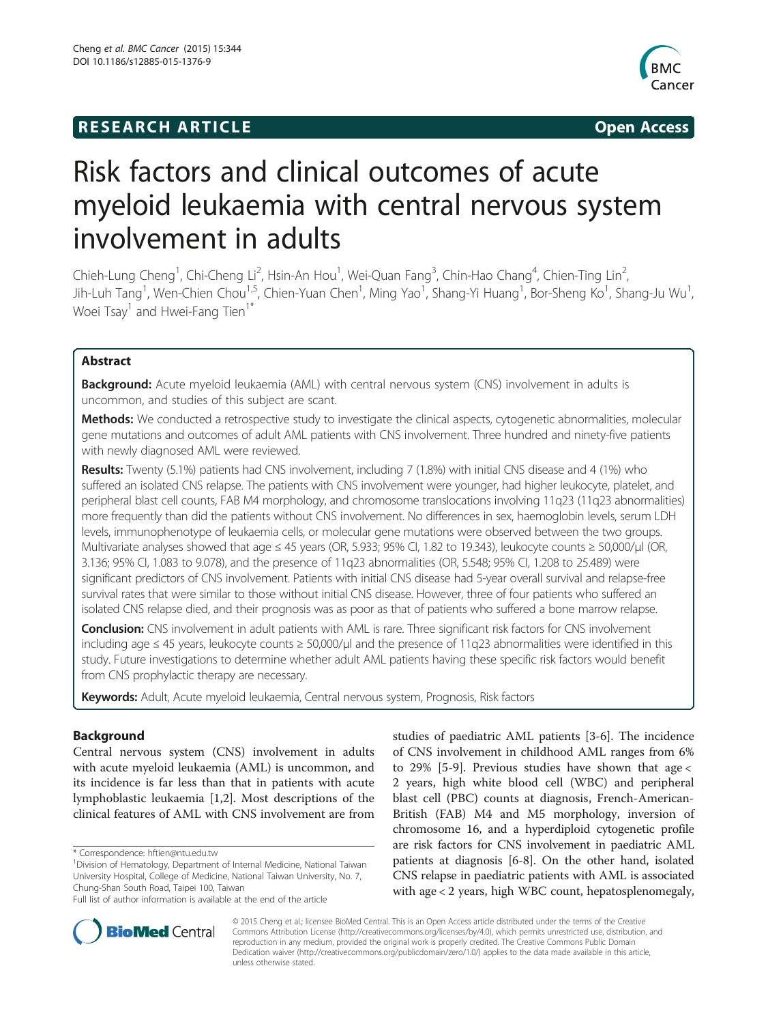## **RESEARCH ARTICLE Example 2014 The SEAR CH ACCESS**



# Risk factors and clinical outcomes of acute myeloid leukaemia with central nervous system involvement in adults

Chieh-Lung Cheng<sup>1</sup>, Chi-Cheng Li<sup>2</sup>, Hsin-An Hou<sup>1</sup>, Wei-Quan Fang<sup>3</sup>, Chin-Hao Chang<sup>4</sup>, Chien-Ting Lin<sup>2</sup> , Jih-Luh Tang<sup>1</sup>, Wen-Chien Chou<sup>1,5</sup>, Chien-Yuan Chen<sup>1</sup>, Ming Yao<sup>1</sup>, Shang-Yi Huang<sup>1</sup>, Bor-Sheng Ko<sup>1</sup>, Shang-Ju Wu<sup>1</sup> , Woei  $Tsay<sup>1</sup>$  and Hwei-Fang Tien<sup>1\*</sup>

## Abstract

Background: Acute myeloid leukaemia (AML) with central nervous system (CNS) involvement in adults is uncommon, and studies of this subject are scant.

Methods: We conducted a retrospective study to investigate the clinical aspects, cytogenetic abnormalities, molecular gene mutations and outcomes of adult AML patients with CNS involvement. Three hundred and ninety-five patients with newly diagnosed AML were reviewed.

Results: Twenty (5.1%) patients had CNS involvement, including 7 (1.8%) with initial CNS disease and 4 (1%) who suffered an isolated CNS relapse. The patients with CNS involvement were younger, had higher leukocyte, platelet, and peripheral blast cell counts, FAB M4 morphology, and chromosome translocations involving 11q23 (11q23 abnormalities) more frequently than did the patients without CNS involvement. No differences in sex, haemoglobin levels, serum LDH levels, immunophenotype of leukaemia cells, or molecular gene mutations were observed between the two groups. Multivariate analyses showed that age ≤ 45 years (OR, 5.933; 95% CI, 1.82 to 19.343), leukocyte counts ≥ 50,000/μl (OR, 3.136; 95% CI, 1.083 to 9.078), and the presence of 11q23 abnormalities (OR, 5.548; 95% CI, 1.208 to 25.489) were significant predictors of CNS involvement. Patients with initial CNS disease had 5-year overall survival and relapse-free survival rates that were similar to those without initial CNS disease. However, three of four patients who suffered an isolated CNS relapse died, and their prognosis was as poor as that of patients who suffered a bone marrow relapse.

**Conclusion:** CNS involvement in adult patients with AML is rare. Three significant risk factors for CNS involvement including age ≤ 45 years, leukocyte counts ≥ 50,000/μl and the presence of 11q23 abnormalities were identified in this study. Future investigations to determine whether adult AML patients having these specific risk factors would benefit from CNS prophylactic therapy are necessary.

Keywords: Adult, Acute myeloid leukaemia, Central nervous system, Prognosis, Risk factors

## Background

Central nervous system (CNS) involvement in adults with acute myeloid leukaemia (AML) is uncommon, and its incidence is far less than that in patients with acute lymphoblastic leukaemia [[1,2\]](#page-8-0). Most descriptions of the clinical features of AML with CNS involvement are from

\* Correspondence: [hftien@ntu.edu.tw](mailto:hftien@ntu.edu.tw) <sup>1</sup>

studies of paediatric AML patients [\[3](#page-8-0)-[6\]](#page-8-0). The incidence of CNS involvement in childhood AML ranges from 6% to 29% [[5-9](#page-8-0)]. Previous studies have shown that age < 2 years, high white blood cell (WBC) and peripheral blast cell (PBC) counts at diagnosis, French-American-British (FAB) M4 and M5 morphology, inversion of chromosome 16, and a hyperdiploid cytogenetic profile are risk factors for CNS involvement in paediatric AML patients at diagnosis [\[6](#page-8-0)-[8\]](#page-8-0). On the other hand, isolated CNS relapse in paediatric patients with AML is associated with age < 2 years, high WBC count, hepatosplenomegaly,



© 2015 Cheng et al.; licensee BioMed Central. This is an Open Access article distributed under the terms of the Creative Commons Attribution License [\(http://creativecommons.org/licenses/by/4.0\)](http://creativecommons.org/licenses/by/4.0), which permits unrestricted use, distribution, and reproduction in any medium, provided the original work is properly credited. The Creative Commons Public Domain Dedication waiver [\(http://creativecommons.org/publicdomain/zero/1.0/](http://creativecommons.org/publicdomain/zero/1.0/)) applies to the data made available in this article, unless otherwise stated.

Division of Hematology, Department of Internal Medicine, National Taiwan University Hospital, College of Medicine, National Taiwan University, No. 7, Chung-Shan South Road, Taipei 100, Taiwan

Full list of author information is available at the end of the article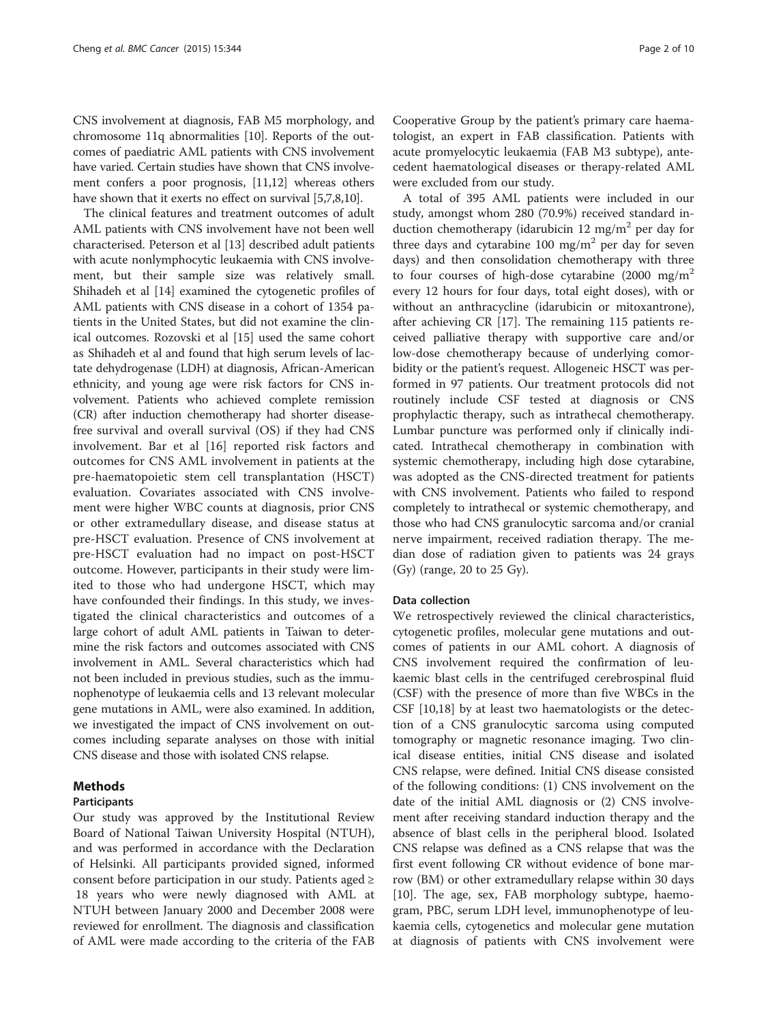CNS involvement at diagnosis, FAB M5 morphology, and chromosome 11q abnormalities [[10](#page-8-0)]. Reports of the outcomes of paediatric AML patients with CNS involvement have varied. Certain studies have shown that CNS involvement confers a poor prognosis, [[11,12](#page-8-0)] whereas others have shown that it exerts no effect on survival [\[5,7,8,10](#page-8-0)].

The clinical features and treatment outcomes of adult AML patients with CNS involvement have not been well characterised. Peterson et al [\[13](#page-8-0)] described adult patients with acute nonlymphocytic leukaemia with CNS involvement, but their sample size was relatively small. Shihadeh et al [[14\]](#page-8-0) examined the cytogenetic profiles of AML patients with CNS disease in a cohort of 1354 patients in the United States, but did not examine the clinical outcomes. Rozovski et al [\[15\]](#page-8-0) used the same cohort as Shihadeh et al and found that high serum levels of lactate dehydrogenase (LDH) at diagnosis, African-American ethnicity, and young age were risk factors for CNS involvement. Patients who achieved complete remission (CR) after induction chemotherapy had shorter diseasefree survival and overall survival (OS) if they had CNS involvement. Bar et al [[16\]](#page-8-0) reported risk factors and outcomes for CNS AML involvement in patients at the pre-haematopoietic stem cell transplantation (HSCT) evaluation. Covariates associated with CNS involvement were higher WBC counts at diagnosis, prior CNS or other extramedullary disease, and disease status at pre-HSCT evaluation. Presence of CNS involvement at pre-HSCT evaluation had no impact on post-HSCT outcome. However, participants in their study were limited to those who had undergone HSCT, which may have confounded their findings. In this study, we investigated the clinical characteristics and outcomes of a large cohort of adult AML patients in Taiwan to determine the risk factors and outcomes associated with CNS involvement in AML. Several characteristics which had not been included in previous studies, such as the immunophenotype of leukaemia cells and 13 relevant molecular gene mutations in AML, were also examined. In addition, we investigated the impact of CNS involvement on outcomes including separate analyses on those with initial CNS disease and those with isolated CNS relapse.

## Methods

## Participants

Our study was approved by the Institutional Review Board of National Taiwan University Hospital (NTUH), and was performed in accordance with the Declaration of Helsinki. All participants provided signed, informed consent before participation in our study. Patients aged ≥ 18 years who were newly diagnosed with AML at NTUH between January 2000 and December 2008 were reviewed for enrollment. The diagnosis and classification of AML were made according to the criteria of the FAB

Cooperative Group by the patient's primary care haematologist, an expert in FAB classification. Patients with acute promyelocytic leukaemia (FAB M3 subtype), antecedent haematological diseases or therapy-related AML were excluded from our study.

A total of 395 AML patients were included in our study, amongst whom 280 (70.9%) received standard induction chemotherapy (idarubicin 12 mg/m<sup>2</sup> per day for three days and cytarabine 100 mg/m<sup>2</sup> per day for seven days) and then consolidation chemotherapy with three to four courses of high-dose cytarabine (2000 mg/m<sup>2</sup>) every 12 hours for four days, total eight doses), with or without an anthracycline (idarubicin or mitoxantrone), after achieving CR [[17](#page-8-0)]. The remaining 115 patients received palliative therapy with supportive care and/or low-dose chemotherapy because of underlying comorbidity or the patient's request. Allogeneic HSCT was performed in 97 patients. Our treatment protocols did not routinely include CSF tested at diagnosis or CNS prophylactic therapy, such as intrathecal chemotherapy. Lumbar puncture was performed only if clinically indicated. Intrathecal chemotherapy in combination with systemic chemotherapy, including high dose cytarabine, was adopted as the CNS-directed treatment for patients with CNS involvement. Patients who failed to respond completely to intrathecal or systemic chemotherapy, and those who had CNS granulocytic sarcoma and/or cranial nerve impairment, received radiation therapy. The median dose of radiation given to patients was 24 grays (Gy) (range, 20 to 25 Gy).

### Data collection

We retrospectively reviewed the clinical characteristics, cytogenetic profiles, molecular gene mutations and outcomes of patients in our AML cohort. A diagnosis of CNS involvement required the confirmation of leukaemic blast cells in the centrifuged cerebrospinal fluid (CSF) with the presence of more than five WBCs in the CSF [\[10,18\]](#page-8-0) by at least two haematologists or the detection of a CNS granulocytic sarcoma using computed tomography or magnetic resonance imaging. Two clinical disease entities, initial CNS disease and isolated CNS relapse, were defined. Initial CNS disease consisted of the following conditions: (1) CNS involvement on the date of the initial AML diagnosis or (2) CNS involvement after receiving standard induction therapy and the absence of blast cells in the peripheral blood. Isolated CNS relapse was defined as a CNS relapse that was the first event following CR without evidence of bone marrow (BM) or other extramedullary relapse within 30 days [[10\]](#page-8-0). The age, sex, FAB morphology subtype, haemogram, PBC, serum LDH level, immunophenotype of leukaemia cells, cytogenetics and molecular gene mutation at diagnosis of patients with CNS involvement were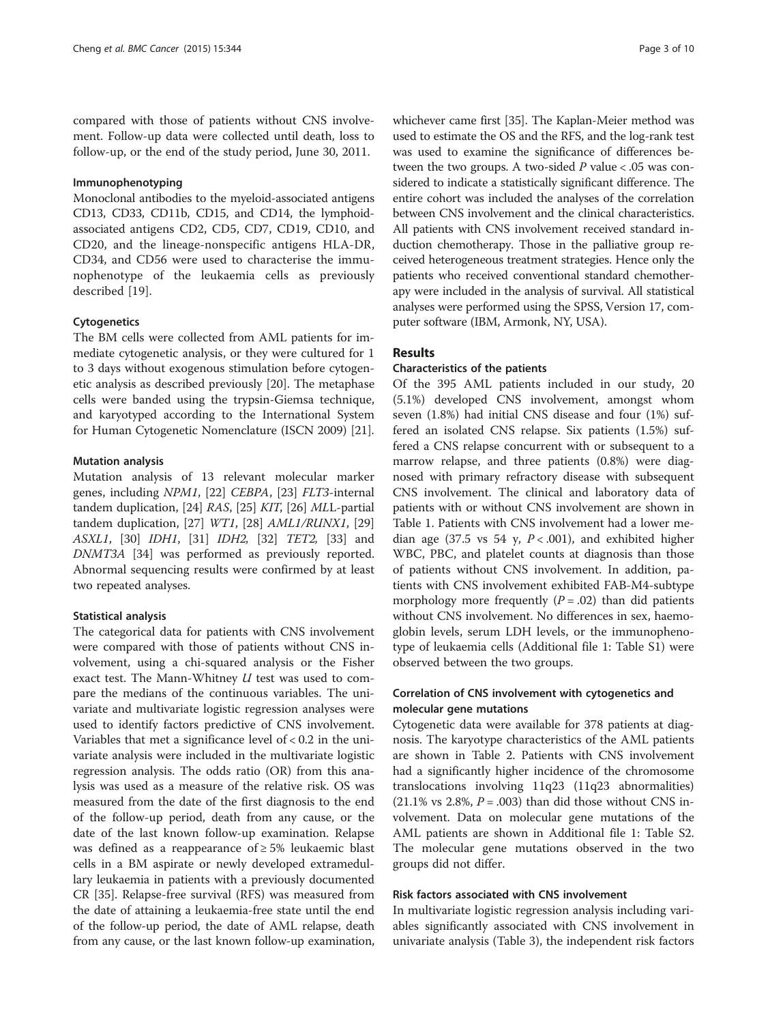compared with those of patients without CNS involvement. Follow-up data were collected until death, loss to follow-up, or the end of the study period, June 30, 2011.

#### Immunophenotyping

Monoclonal antibodies to the myeloid-associated antigens CD13, CD33, CD11b, CD15, and CD14, the lymphoidassociated antigens CD2, CD5, CD7, CD19, CD10, and CD20, and the lineage-nonspecific antigens HLA-DR, CD34, and CD56 were used to characterise the immunophenotype of the leukaemia cells as previously described [\[19](#page-8-0)].

### **Cytogenetics**

The BM cells were collected from AML patients for immediate cytogenetic analysis, or they were cultured for 1 to 3 days without exogenous stimulation before cytogenetic analysis as described previously [[20\]](#page-8-0). The metaphase cells were banded using the trypsin-Giemsa technique, and karyotyped according to the International System for Human Cytogenetic Nomenclature (ISCN 2009) [\[21](#page-8-0)].

## Mutation analysis

Mutation analysis of 13 relevant molecular marker genes, including NPM1, [\[22](#page-8-0)] CEBPA, [[23\]](#page-8-0) FLT3-internal tandem duplication, [[24](#page-8-0)] RAS, [\[25\]](#page-8-0) KIT, [\[26](#page-8-0)] MLL-partial tandem duplication, [[27](#page-8-0)] WT1, [\[28](#page-8-0)] AML1/RUNX1, [[29](#page-8-0)] ASXL1, [\[30](#page-8-0)] IDH1, [\[31](#page-8-0)] IDH2, [[32](#page-8-0)] TET2, [\[33](#page-8-0)] and DNMT3A [[34\]](#page-8-0) was performed as previously reported. Abnormal sequencing results were confirmed by at least two repeated analyses.

### Statistical analysis

The categorical data for patients with CNS involvement were compared with those of patients without CNS involvement, using a chi-squared analysis or the Fisher exact test. The Mann-Whitney U test was used to compare the medians of the continuous variables. The univariate and multivariate logistic regression analyses were used to identify factors predictive of CNS involvement. Variables that met a significance level of  $< 0.2$  in the univariate analysis were included in the multivariate logistic regression analysis. The odds ratio (OR) from this analysis was used as a measure of the relative risk. OS was measured from the date of the first diagnosis to the end of the follow-up period, death from any cause, or the date of the last known follow-up examination. Relapse was defined as a reappearance of ≥ 5% leukaemic blast cells in a BM aspirate or newly developed extramedullary leukaemia in patients with a previously documented CR [\[35\]](#page-8-0). Relapse-free survival (RFS) was measured from the date of attaining a leukaemia-free state until the end of the follow-up period, the date of AML relapse, death from any cause, or the last known follow-up examination, whichever came first [\[35](#page-8-0)]. The Kaplan-Meier method was used to estimate the OS and the RFS, and the log-rank test was used to examine the significance of differences between the two groups. A two-sided  $P$  value < .05 was considered to indicate a statistically significant difference. The entire cohort was included the analyses of the correlation between CNS involvement and the clinical characteristics. All patients with CNS involvement received standard induction chemotherapy. Those in the palliative group received heterogeneous treatment strategies. Hence only the patients who received conventional standard chemotherapy were included in the analysis of survival. All statistical analyses were performed using the SPSS, Version 17, computer software (IBM, Armonk, NY, USA).

## Results

## Characteristics of the patients

Of the 395 AML patients included in our study, 20 (5.1%) developed CNS involvement, amongst whom seven (1.8%) had initial CNS disease and four (1%) suffered an isolated CNS relapse. Six patients (1.5%) suffered a CNS relapse concurrent with or subsequent to a marrow relapse, and three patients (0.8%) were diagnosed with primary refractory disease with subsequent CNS involvement. The clinical and laboratory data of patients with or without CNS involvement are shown in Table [1.](#page-3-0) Patients with CNS involvement had a lower median age (37.5 vs 54 y,  $P < .001$ ), and exhibited higher WBC, PBC, and platelet counts at diagnosis than those of patients without CNS involvement. In addition, patients with CNS involvement exhibited FAB-M4-subtype morphology more frequently  $(P=.02)$  than did patients without CNS involvement. No differences in sex, haemoglobin levels, serum LDH levels, or the immunophenotype of leukaemia cells (Additional file [1](#page-7-0): Table S1) were observed between the two groups.

## Correlation of CNS involvement with cytogenetics and molecular gene mutations

Cytogenetic data were available for 378 patients at diagnosis. The karyotype characteristics of the AML patients are shown in Table [2.](#page-3-0) Patients with CNS involvement had a significantly higher incidence of the chromosome translocations involving 11q23 (11q23 abnormalities)  $(21.1\% \text{ vs } 2.8\%, P = .003)$  than did those without CNS involvement. Data on molecular gene mutations of the AML patients are shown in Additional file [1](#page-7-0): Table S2. The molecular gene mutations observed in the two groups did not differ.

## Risk factors associated with CNS involvement

In multivariate logistic regression analysis including variables significantly associated with CNS involvement in univariate analysis (Table [3\)](#page-4-0), the independent risk factors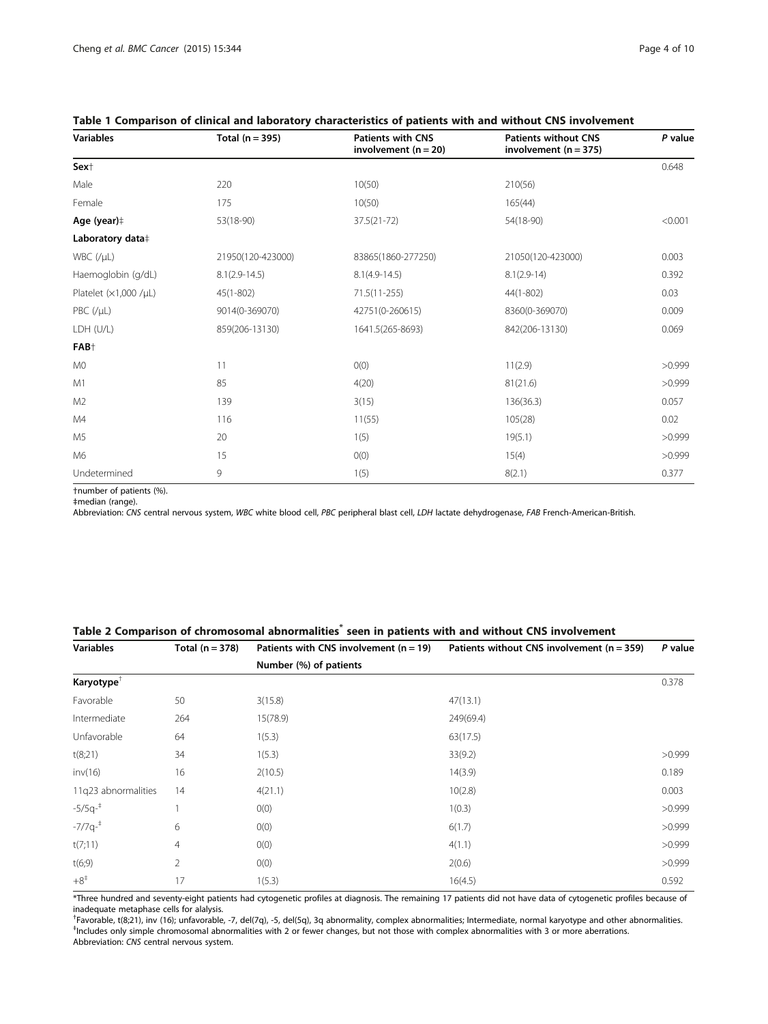| Page 4 of 10 |
|--------------|
|--------------|

| <b>Variables</b>            | Total $(n = 395)$ | <b>Patients with CNS</b><br>involvement ( $n = 20$ ) | <b>Patients without CNS</b><br>involvement $(n = 375)$ | P value |
|-----------------------------|-------------------|------------------------------------------------------|--------------------------------------------------------|---------|
| Sex <sup>+</sup>            |                   |                                                      |                                                        | 0.648   |
| Male                        | 220               | 10(50)                                               | 210(56)                                                |         |
| Female                      | 175               | 10(50)                                               | 165(44)                                                |         |
| Age (year)#                 | 53(18-90)         | $37.5(21 - 72)$                                      | 54(18-90)                                              | < 0.001 |
| Laboratory data‡            |                   |                                                      |                                                        |         |
| $WBC$ (/ $\mu L$ )          | 21950(120-423000) | 83865(1860-277250)                                   | 21050(120-423000)                                      | 0.003   |
| Haemoglobin (g/dL)          | $8.1(2.9-14.5)$   | $8.1(4.9-14.5)$                                      | $8.1(2.9-14)$                                          | 0.392   |
| Platelet $(x1,000 / \mu L)$ | $45(1 - 802)$     | $71.5(11 - 255)$                                     | 44(1-802)                                              | 0.03    |
| PBC (/µL)                   | 9014(0-369070)    | 42751(0-260615)                                      | 8360(0-369070)                                         | 0.009   |
| LDH (U/L)                   | 859(206-13130)    | 1641.5(265-8693)                                     | 842(206-13130)                                         | 0.069   |
| FAB <sup>+</sup>            |                   |                                                      |                                                        |         |
| M <sub>0</sub>              | 11                | O(0)                                                 | 11(2.9)                                                | >0.999  |
| M1                          | 85                | 4(20)                                                | 81(21.6)                                               | >0.999  |
| M <sub>2</sub>              | 139               | 3(15)                                                | 136(36.3)                                              | 0.057   |
| M4                          | 116               | 11(55)                                               | 105(28)                                                | 0.02    |
| M <sub>5</sub>              | 20                | 1(5)                                                 | 19(5.1)                                                | >0.999  |
| M6                          | 15                | O(0)                                                 | 15(4)                                                  | >0.999  |
| Undetermined                | 9                 | 1(5)                                                 | 8(2.1)                                                 | 0.377   |

## <span id="page-3-0"></span>Table 1 Comparison of clinical and laboratory characteristics of patients with and without CNS involvement

†number of patients (%).

‡median (range).

Abbreviation: CNS central nervous system, WBC white blood cell, PBC peripheral blast cell, LDH lactate dehydrogenase, FAB French-American-British.

## Table 2 Comparison of chromosomal abnormalities<sup>\*</sup> seen in patients with and without CNS involvement

| <b>Variables</b>       | Total $(n = 378)$ | Patients with CNS involvement $(n = 19)$ | Patients without CNS involvement ( $n = 359$ ) | P value |
|------------------------|-------------------|------------------------------------------|------------------------------------------------|---------|
|                        |                   | Number (%) of patients                   |                                                |         |
| Karyotype <sup>T</sup> |                   |                                          |                                                | 0.378   |
| Favorable              | 50                | 3(15.8)                                  | 47(13.1)                                       |         |
| Intermediate           | 264               | 15(78.9)                                 | 249(69.4)                                      |         |
| Unfavorable            | 64                | 1(5.3)                                   | 63(17.5)                                       |         |
| t(8;21)                | 34                | 1(5.3)                                   | 33(9.2)                                        | >0.999  |
| inv(16)                | 16                | 2(10.5)                                  | 14(3.9)                                        | 0.189   |
| 11q23 abnormalities    | 14                | 4(21.1)                                  | 10(2.8)                                        | 0.003   |
| $-5/5q^{-1}$           |                   | O(0)                                     | 1(0.3)                                         | >0.999  |
| $-7/7q^{-1}$           | 6                 | O(0)                                     | 6(1.7)                                         | >0.999  |
| t(7;11)                | 4                 | O(0)                                     | 4(1.1)                                         | >0.999  |
| t(6,9)                 | $\overline{2}$    | O(0)                                     | 2(0.6)                                         | >0.999  |
| $+8^{\ddagger}$        | 17                | 1(5.3)                                   | 16(4.5)                                        | 0.592   |

\*Three hundred and seventy-eight patients had cytogenetic profiles at diagnosis. The remaining 17 patients did not have data of cytogenetic profiles because of inadequate metaphase cells for alalysis.

<sup>†</sup>Favorable, t(8;21), inv (16); unfavorable, -7, del(7q), -5, del(5q), 3q abnormality, complex abnormalities; Intermediate, normal karyotype and other abnormalities.<br><sup>‡Includes only simple chromosomal abnormalities with 2</sup> Includes only simple chromosomal abnormalities with 2 or fewer changes, but not those with complex abnormalities with 3 or more aberrations.

Abbreviation: CNS central nervous system.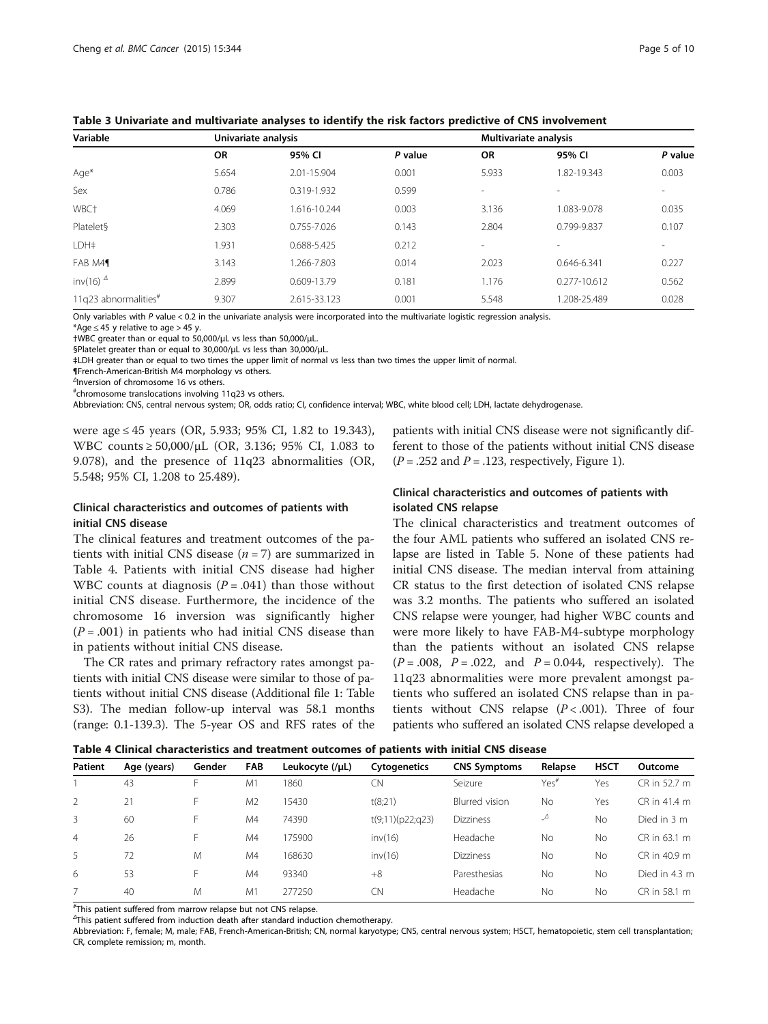| Variable                         | Univariate analysis |              |         | Multivariate analysis    |                          |         |  |  |
|----------------------------------|---------------------|--------------|---------|--------------------------|--------------------------|---------|--|--|
|                                  | <b>OR</b>           | 95% CI       | P value | OR                       | 95% CI                   | P value |  |  |
| Age*                             | 5.654               | 2.01-15.904  | 0.001   | 5.933                    | 1.82-19.343              | 0.003   |  |  |
| Sex                              | 0.786               | 0.319-1.932  | 0.599   | $\overline{\phantom{a}}$ | $\overline{\phantom{a}}$ |         |  |  |
| WBC <sup>+</sup>                 | 4.069               | 1.616-10.244 | 0.003   | 3.136                    | 1.083-9.078              | 0.035   |  |  |
| Platelet§                        | 2.303               | 0.755-7.026  | 0.143   | 2.804                    | 0.799-9.837              | 0.107   |  |  |
| LDH#                             | 1.931               | 0.688-5.425  | 0.212   | $\sim$                   |                          |         |  |  |
| FAB M41                          | 3.143               | 1.266-7.803  | 0.014   | 2.023                    | 0.646-6.341              | 0.227   |  |  |
| inv(16) $^{\Delta}$              | 2.899               | 0.609-13.79  | 0.181   | 1.176                    | 0.277-10.612             | 0.562   |  |  |
| 11q23 abnormalities <sup>#</sup> | 9.307               | 2.615-33.123 | 0.001   | 5.548                    | 1.208-25.489             | 0.028   |  |  |

<span id="page-4-0"></span>Table 3 Univariate and multivariate analyses to identify the risk factors predictive of CNS involvement

Only variables with P value < 0.2 in the univariate analysis were incorporated into the multivariate logistic regression analysis.

\*Age  $\leq$  45 y relative to age > 45 y.

†WBC greater than or equal to 50,000/μL vs less than 50,000/μL.

§Platelet greater than or equal to 30,000/μL vs less than 30,000/μL.

‡LDH greater than or equal to two times the upper limit of normal vs less than two times the upper limit of normal.

¶French-American-British M4 morphology vs others.

Δ Inversion of chromosome 16 vs others.

# chromosome translocations involving 11q23 vs others.

Abbreviation: CNS, central nervous system; OR, odds ratio; CI, confidence interval; WBC, white blood cell; LDH, lactate dehydrogenase.

were age ≤ 45 years (OR, 5.933; 95% CI, 1.82 to 19.343), WBC counts ≥ 50,000/μL (OR, 3.136; 95% CI, 1.083 to 9.078), and the presence of 11q23 abnormalities (OR, 5.548; 95% CI, 1.208 to 25.489).

## Clinical characteristics and outcomes of patients with initial CNS disease

The clinical features and treatment outcomes of the patients with initial CNS disease  $(n = 7)$  are summarized in Table 4. Patients with initial CNS disease had higher WBC counts at diagnosis  $(P=.041)$  than those without initial CNS disease. Furthermore, the incidence of the chromosome 16 inversion was significantly higher  $(P=.001)$  in patients who had initial CNS disease than in patients without initial CNS disease.

The CR rates and primary refractory rates amongst patients with initial CNS disease were similar to those of patients without initial CNS disease (Additional file [1:](#page-7-0) Table S3). The median follow-up interval was 58.1 months (range: 0.1-139.3). The 5-year OS and RFS rates of the patients with initial CNS disease were not significantly different to those of the patients without initial CNS disease  $(P = .252$  and  $P = .123$ , respectively, Figure [1](#page-5-0)).

## Clinical characteristics and outcomes of patients with isolated CNS relapse

The clinical characteristics and treatment outcomes of the four AML patients who suffered an isolated CNS relapse are listed in Table [5](#page-6-0). None of these patients had initial CNS disease. The median interval from attaining CR status to the first detection of isolated CNS relapse was 3.2 months. The patients who suffered an isolated CNS relapse were younger, had higher WBC counts and were more likely to have FAB-M4-subtype morphology than the patients without an isolated CNS relapse  $(P = .008, P = .022, and P = 0.044, respectively).$  The 11q23 abnormalities were more prevalent amongst patients who suffered an isolated CNS relapse than in patients without CNS relapse  $(P < .001)$ . Three of four patients who suffered an isolated CNS relapse developed a

| Table 4 Clinical characteristics and treatment outcomes of patients with initial CNS disease |  |
|----------------------------------------------------------------------------------------------|--|
|----------------------------------------------------------------------------------------------|--|

| Patient        | Age (years) | Gender | <b>FAB</b>     | Leukocyte (/µL) | Cytogenetics     | <b>CNS Symptoms</b> | Relapse          | <b>HSCT</b> | Outcome       |
|----------------|-------------|--------|----------------|-----------------|------------------|---------------------|------------------|-------------|---------------|
|                | 43          | F.     | M <sub>1</sub> | 1860            | CN               | Seizure             | Yes <sup>#</sup> | Yes         | CR in 52.7 m  |
| $\mathcal{P}$  | 21          | F      | M <sub>2</sub> | 15430           | t(8;21)          | Blurred vision      | No               | Yes         | CR in 41.4 m  |
| 3              | 60          | F.     | M4             | 74390           | t(9;11)(p22;q23) | <b>Dizziness</b>    | $\Delta$         | No          | Died in 3 m   |
| $\overline{4}$ | 26          | F.     | M4             | 175900          | inv(16)          | Headache            | No               | No          | CR in 63.1 m  |
| 5.             | 72          | M      | M4             | 168630          | inv(16)          | <b>Dizziness</b>    | No               | No          | CR in 40.9 m  |
| 6              | 53          | F      | M4             | 93340           | $+8$             | Paresthesias        | No               | No          | Died in 4.3 m |
|                | 40          | M      | M <sub>1</sub> | 277250          | C <sub>N</sub>   | Headache            | No               | No          | CR in 58.1 m  |

# This patient suffered from marrow relapse but not CNS relapse.

 $\textsuperscript{A}$ This patient suffered from induction death after standard induction chemotherapy.

Abbreviation: F, female; M, male; FAB, French-American-British; CN, normal karyotype; CNS, central nervous system; HSCT, hematopoietic, stem cell transplantation; CR, complete remission; m, month.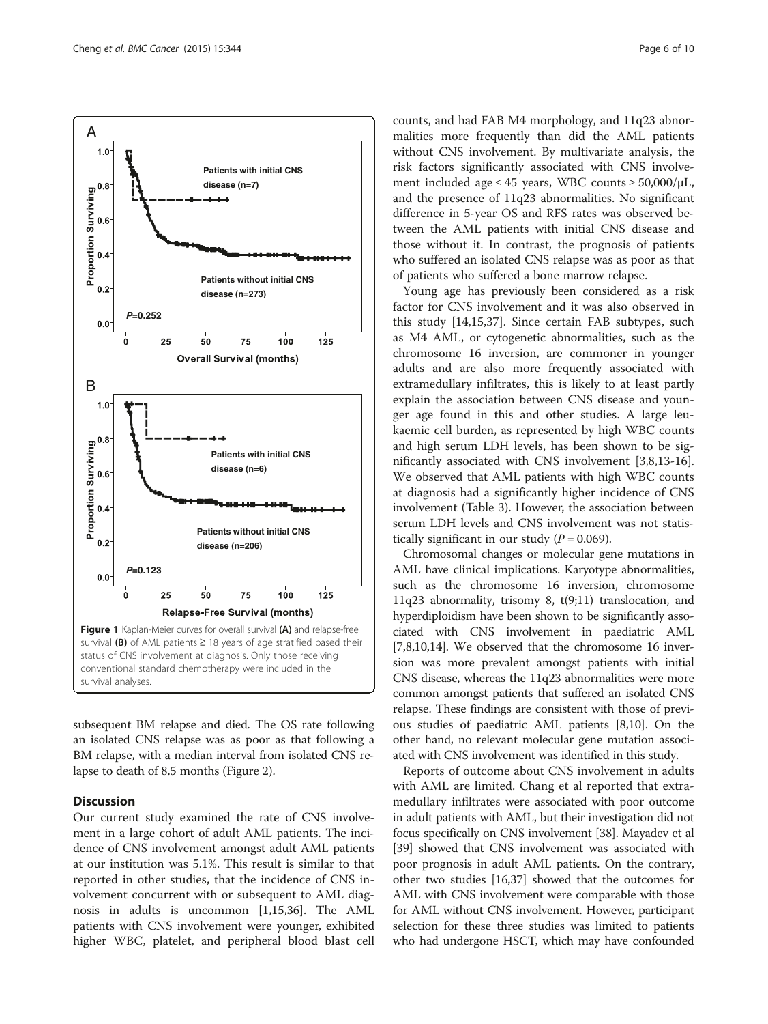<span id="page-5-0"></span>

subsequent BM relapse and died. The OS rate following an isolated CNS relapse was as poor as that following a BM relapse, with a median interval from isolated CNS relapse to death of 8.5 months (Figure [2](#page-7-0)).

## **Discussion**

Our current study examined the rate of CNS involvement in a large cohort of adult AML patients. The incidence of CNS involvement amongst adult AML patients at our institution was 5.1%. This result is similar to that reported in other studies, that the incidence of CNS involvement concurrent with or subsequent to AML diagnosis in adults is uncommon [[1,15](#page-8-0),[36](#page-8-0)]. The AML patients with CNS involvement were younger, exhibited higher WBC, platelet, and peripheral blood blast cell counts, and had FAB M4 morphology, and 11q23 abnormalities more frequently than did the AML patients without CNS involvement. By multivariate analysis, the risk factors significantly associated with CNS involvement included age  $\leq 45$  years, WBC counts  $\geq 50,000/\mu L$ , and the presence of 11q23 abnormalities. No significant difference in 5-year OS and RFS rates was observed between the AML patients with initial CNS disease and those without it. In contrast, the prognosis of patients who suffered an isolated CNS relapse was as poor as that of patients who suffered a bone marrow relapse.

Young age has previously been considered as a risk factor for CNS involvement and it was also observed in this study [[14,15,37](#page-8-0)]. Since certain FAB subtypes, such as M4 AML, or cytogenetic abnormalities, such as the chromosome 16 inversion, are commoner in younger adults and are also more frequently associated with extramedullary infiltrates, this is likely to at least partly explain the association between CNS disease and younger age found in this and other studies. A large leukaemic cell burden, as represented by high WBC counts and high serum LDH levels, has been shown to be significantly associated with CNS involvement [[3,8,13-16](#page-8-0)]. We observed that AML patients with high WBC counts at diagnosis had a significantly higher incidence of CNS involvement (Table [3](#page-4-0)). However, the association between serum LDH levels and CNS involvement was not statistically significant in our study ( $P = 0.069$ ).

Chromosomal changes or molecular gene mutations in AML have clinical implications. Karyotype abnormalities, such as the chromosome 16 inversion, chromosome 11q23 abnormality, trisomy 8, t(9;11) translocation, and hyperdiploidism have been shown to be significantly associated with CNS involvement in paediatric AML [[7,8,10,14\]](#page-8-0). We observed that the chromosome 16 inversion was more prevalent amongst patients with initial CNS disease, whereas the 11q23 abnormalities were more common amongst patients that suffered an isolated CNS relapse. These findings are consistent with those of previous studies of paediatric AML patients [[8,10](#page-8-0)]. On the other hand, no relevant molecular gene mutation associated with CNS involvement was identified in this study.

Reports of outcome about CNS involvement in adults with AML are limited. Chang et al reported that extramedullary infiltrates were associated with poor outcome in adult patients with AML, but their investigation did not focus specifically on CNS involvement [\[38\]](#page-8-0). Mayadev et al [[39](#page-8-0)] showed that CNS involvement was associated with poor prognosis in adult AML patients. On the contrary, other two studies [\[16,37\]](#page-8-0) showed that the outcomes for AML with CNS involvement were comparable with those for AML without CNS involvement. However, participant selection for these three studies was limited to patients who had undergone HSCT, which may have confounded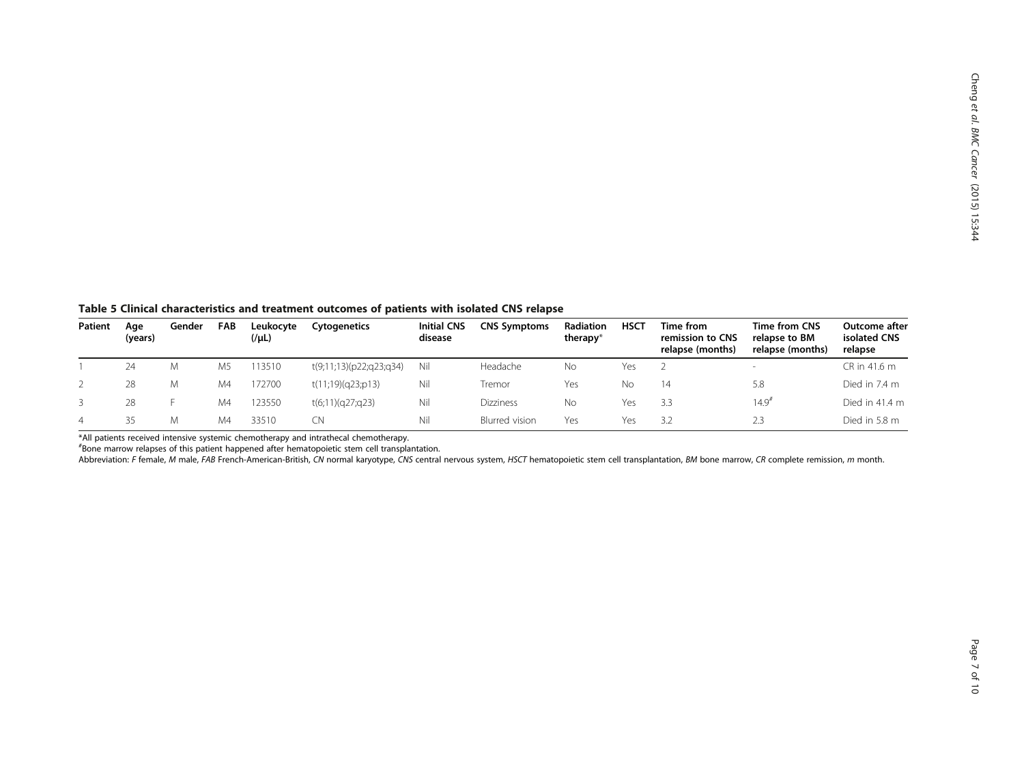<span id="page-6-0"></span>Table 5 Clinical characteristics and treatment outcomes of patients with isolated CNS relapse

| Patient        | Age<br>(years) | Gender | <b>FAB</b>     | Leukocyte<br>(1/1) | Cytogenetics            | <b>Initial CNS</b><br>disease | <b>CNS Symptoms</b> | Radiation<br>therapy* | <b>HSCT</b> | Time from<br>remission to CNS<br>relapse (months) | Time from CNS<br>relapse to BM<br>relapse (months) | Outcome after<br>isolated CNS<br>relapse |
|----------------|----------------|--------|----------------|--------------------|-------------------------|-------------------------------|---------------------|-----------------------|-------------|---------------------------------------------------|----------------------------------------------------|------------------------------------------|
|                | 24             | M      | M <sub>5</sub> | 113510             | t(9;11;13)(p22;q23;q34) | Nil                           | Headache            | No                    | Yes         |                                                   |                                                    | CR in 41.6 m                             |
|                | 28             | М      | M4             | 172700             | t(11;19)(q23;p13)       | Nil                           | Tremor              | Yes                   | Nο          | 14                                                | 5.8                                                | Died in 7.4 m                            |
|                | 28             |        | M4             | 123550             | t(6;11)(q27;q23)        | Nil                           | Dizziness           | No                    | Yes         | 3.3                                               | $14.9$ <sup>#</sup>                                | Died in 41.4 m                           |
| $\overline{4}$ | って             |        | M4             | 33510              | CN                      | Nil                           | Blurred vision      | Yes                   | Yes         | 3.2                                               | 2.3                                                | Died in 5.8 m                            |

\*All patients received intensive systemic chemotherapy and intrathecal chemotherapy.

# Bone marrow relapses of this patient happened after hematopoietic stem cell transplantation.

Abbreviation: F female, M male, FAB French-American-British, CN normal karyotype, CNS central nervous system, HSCT hematopoietic stem cell transplantation, BM bone marrow, CR complete remission, m month.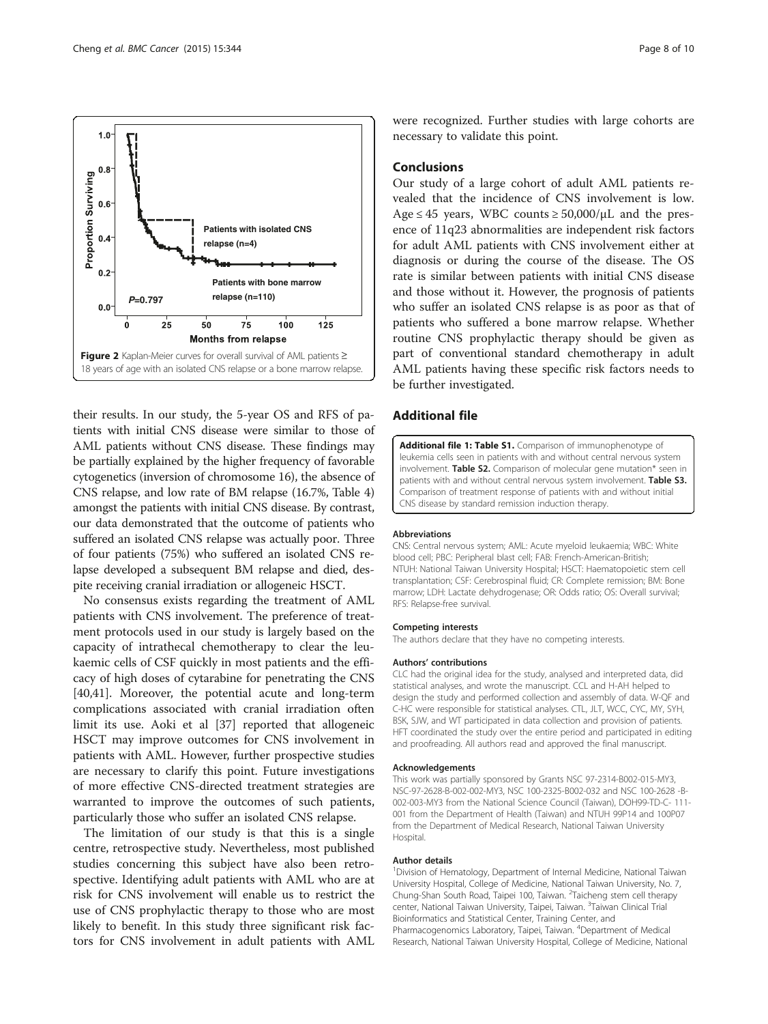<span id="page-7-0"></span>

their results. In our study, the 5-year OS and RFS of patients with initial CNS disease were similar to those of AML patients without CNS disease. These findings may be partially explained by the higher frequency of favorable cytogenetics (inversion of chromosome 16), the absence of CNS relapse, and low rate of BM relapse (16.7%, Table [4](#page-4-0)) amongst the patients with initial CNS disease. By contrast, our data demonstrated that the outcome of patients who suffered an isolated CNS relapse was actually poor. Three of four patients (75%) who suffered an isolated CNS relapse developed a subsequent BM relapse and died, despite receiving cranial irradiation or allogeneic HSCT.

No consensus exists regarding the treatment of AML patients with CNS involvement. The preference of treatment protocols used in our study is largely based on the capacity of intrathecal chemotherapy to clear the leukaemic cells of CSF quickly in most patients and the efficacy of high doses of cytarabine for penetrating the CNS [[40,41\]](#page-9-0). Moreover, the potential acute and long-term complications associated with cranial irradiation often limit its use. Aoki et al [\[37](#page-8-0)] reported that allogeneic HSCT may improve outcomes for CNS involvement in patients with AML. However, further prospective studies are necessary to clarify this point. Future investigations of more effective CNS-directed treatment strategies are warranted to improve the outcomes of such patients, particularly those who suffer an isolated CNS relapse.

The limitation of our study is that this is a single centre, retrospective study. Nevertheless, most published studies concerning this subject have also been retrospective. Identifying adult patients with AML who are at risk for CNS involvement will enable us to restrict the use of CNS prophylactic therapy to those who are most likely to benefit. In this study three significant risk factors for CNS involvement in adult patients with AML

were recognized. Further studies with large cohorts are necessary to validate this point.

## Conclusions

Our study of a large cohort of adult AML patients revealed that the incidence of CNS involvement is low. Age  $\leq$  45 years, WBC counts  $\geq$  50,000/ $\mu$ L and the presence of 11q23 abnormalities are independent risk factors for adult AML patients with CNS involvement either at diagnosis or during the course of the disease. The OS rate is similar between patients with initial CNS disease and those without it. However, the prognosis of patients who suffer an isolated CNS relapse is as poor as that of patients who suffered a bone marrow relapse. Whether routine CNS prophylactic therapy should be given as part of conventional standard chemotherapy in adult AML patients having these specific risk factors needs to be further investigated.

## Additional file

[Additional file 1: Table S1.](http://www.biomedcentral.com/content/supplementary/s12885-015-1376-9-s1.doc) Comparison of immunophenotype of leukemia cells seen in patients with and without central nervous system involvement. Table S2. Comparison of molecular gene mutation\* seen in patients with and without central nervous system involvement. Table S3. Comparison of treatment response of patients with and without initial CNS disease by standard remission induction therapy.

#### Abbreviations

CNS: Central nervous system; AML: Acute myeloid leukaemia; WBC: White blood cell; PBC: Peripheral blast cell; FAB: French-American-British; NTUH: National Taiwan University Hospital; HSCT: Haematopoietic stem cell transplantation; CSF: Cerebrospinal fluid; CR: Complete remission; BM: Bone marrow; LDH: Lactate dehydrogenase; OR: Odds ratio; OS: Overall survival; RFS: Relapse-free survival.

#### Competing interests

The authors declare that they have no competing interests.

#### Authors' contributions

CLC had the original idea for the study, analysed and interpreted data, did statistical analyses, and wrote the manuscript. CCL and H-AH helped to design the study and performed collection and assembly of data. W-QF and C-HC were responsible for statistical analyses. CTL, JLT, WCC, CYC, MY, SYH, BSK, SJW, and WT participated in data collection and provision of patients. HFT coordinated the study over the entire period and participated in editing and proofreading. All authors read and approved the final manuscript.

#### Acknowledgements

This work was partially sponsored by Grants NSC 97-2314-B002-015-MY3, NSC-97-2628-B-002-002-MY3, NSC 100-2325-B002-032 and NSC 100-2628 -B-002-003-MY3 from the National Science Council (Taiwan), DOH99-TD-C- 111- 001 from the Department of Health (Taiwan) and NTUH 99P14 and 100P07 from the Department of Medical Research, National Taiwan University Hospital.

#### Author details

<sup>1</sup> Division of Hematology, Department of Internal Medicine, National Taiwan University Hospital, College of Medicine, National Taiwan University, No. 7, Chung-Shan South Road, Taipei 100, Taiwan. <sup>2</sup>Taicheng stem cell therapy center, National Taiwan University, Taipei, Taiwan. <sup>3</sup>Taiwan Clinical Trial Bioinformatics and Statistical Center, Training Center, and Pharmacogenomics Laboratory, Taipei, Taiwan. <sup>4</sup>Department of Medical Research, National Taiwan University Hospital, College of Medicine, National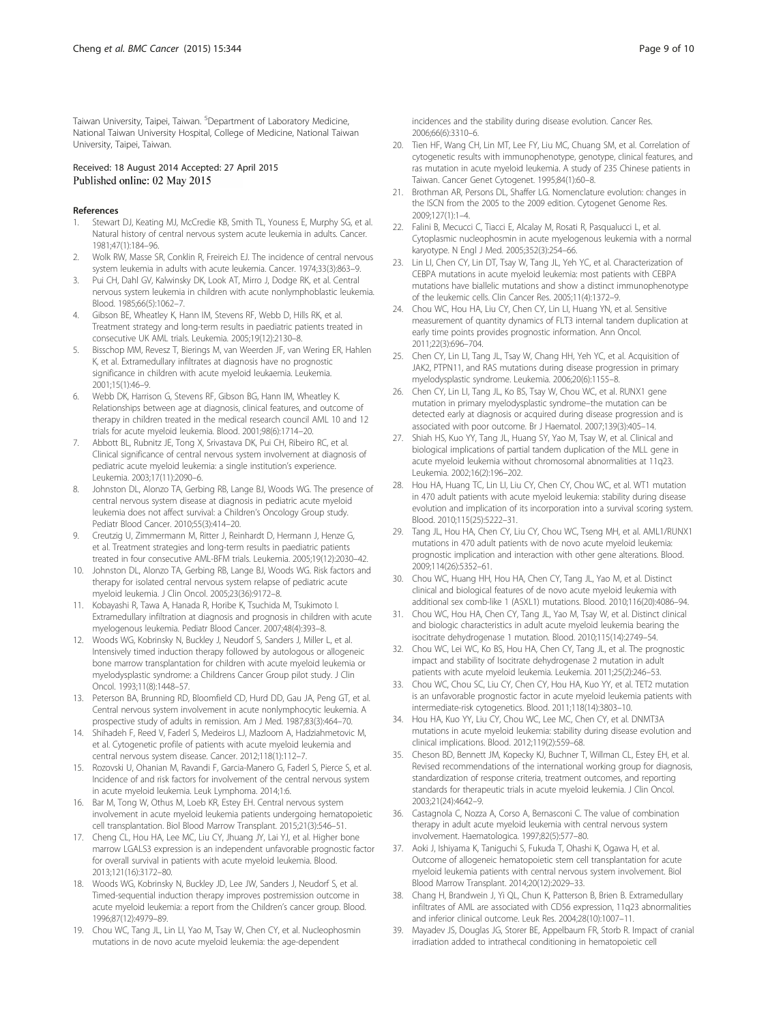<span id="page-8-0"></span>Taiwan University, Taipei, Taiwan. <sup>5</sup>Department of Laboratory Medicine, National Taiwan University Hospital, College of Medicine, National Taiwan University, Taipei, Taiwan.

## Received: 18 August 2014 Accepted: 27 April 2015 Published online: 02 May 2015

#### References

- 1. Stewart DJ, Keating MJ, McCredie KB, Smith TL, Youness E, Murphy SG, et al. Natural history of central nervous system acute leukemia in adults. Cancer. 1981;47(1):184–96.
- 2. Wolk RW, Masse SR, Conklin R, Freireich EJ. The incidence of central nervous system leukemia in adults with acute leukemia. Cancer. 1974;33(3):863–9.
- 3. Pui CH, Dahl GV, Kalwinsky DK, Look AT, Mirro J, Dodge RK, et al. Central nervous system leukemia in children with acute nonlymphoblastic leukemia. Blood. 1985;66(5):1062–7.
- 4. Gibson BE, Wheatley K, Hann IM, Stevens RF, Webb D, Hills RK, et al. Treatment strategy and long-term results in paediatric patients treated in consecutive UK AML trials. Leukemia. 2005;19(12):2130–8.
- 5. Bisschop MM, Revesz T, Bierings M, van Weerden JF, van Wering ER, Hahlen K, et al. Extramedullary infiltrates at diagnosis have no prognostic significance in children with acute myeloid leukaemia. Leukemia. 2001;15(1):46–9.
- 6. Webb DK, Harrison G, Stevens RF, Gibson BG, Hann IM, Wheatley K. Relationships between age at diagnosis, clinical features, and outcome of therapy in children treated in the medical research council AML 10 and 12 trials for acute myeloid leukemia. Blood. 2001;98(6):1714–20.
- 7. Abbott BL, Rubnitz JE, Tong X, Srivastava DK, Pui CH, Ribeiro RC, et al. Clinical significance of central nervous system involvement at diagnosis of pediatric acute myeloid leukemia: a single institution's experience. Leukemia. 2003;17(11):2090–6.
- 8. Johnston DL, Alonzo TA, Gerbing RB, Lange BJ, Woods WG. The presence of central nervous system disease at diagnosis in pediatric acute myeloid leukemia does not affect survival: a Children's Oncology Group study. Pediatr Blood Cancer. 2010;55(3):414–20.
- 9. Creutzig U, Zimmermann M, Ritter J, Reinhardt D, Hermann J, Henze G, et al. Treatment strategies and long-term results in paediatric patients treated in four consecutive AML-BFM trials. Leukemia. 2005;19(12):2030–42.
- 10. Johnston DL, Alonzo TA, Gerbing RB, Lange BJ, Woods WG. Risk factors and therapy for isolated central nervous system relapse of pediatric acute myeloid leukemia. J Clin Oncol. 2005;23(36):9172–8.
- 11. Kobayashi R, Tawa A, Hanada R, Horibe K, Tsuchida M, Tsukimoto I. Extramedullary infiltration at diagnosis and prognosis in children with acute myelogenous leukemia. Pediatr Blood Cancer. 2007;48(4):393–8.
- 12. Woods WG, Kobrinsky N, Buckley J, Neudorf S, Sanders J, Miller L, et al. Intensively timed induction therapy followed by autologous or allogeneic bone marrow transplantation for children with acute myeloid leukemia or myelodysplastic syndrome: a Childrens Cancer Group pilot study. J Clin Oncol. 1993;11(8):1448–57.
- 13. Peterson BA, Brunning RD, Bloomfield CD, Hurd DD, Gau JA, Peng GT, et al. Central nervous system involvement in acute nonlymphocytic leukemia. A prospective study of adults in remission. Am J Med. 1987;83(3):464–70.
- 14. Shihadeh F, Reed V, Faderl S, Medeiros LJ, Mazloom A, Hadziahmetovic M, et al. Cytogenetic profile of patients with acute myeloid leukemia and central nervous system disease. Cancer. 2012;118(1):112–7.
- 15. Rozovski U, Ohanian M, Ravandi F, Garcia-Manero G, Faderl S, Pierce S, et al. Incidence of and risk factors for involvement of the central nervous system in acute myeloid leukemia. Leuk Lymphoma. 2014;1:6.
- 16. Bar M, Tong W, Othus M, Loeb KR, Estey EH. Central nervous system involvement in acute myeloid leukemia patients undergoing hematopoietic cell transplantation. Biol Blood Marrow Transplant. 2015;21(3):546–51.
- 17. Cheng CL, Hou HA, Lee MC, Liu CY, Jhuang JY, Lai YJ, et al. Higher bone marrow LGALS3 expression is an independent unfavorable prognostic factor for overall survival in patients with acute myeloid leukemia. Blood. 2013;121(16):3172–80.
- 18. Woods WG, Kobrinsky N, Buckley JD, Lee JW, Sanders J, Neudorf S, et al. Timed-sequential induction therapy improves postremission outcome in acute myeloid leukemia: a report from the Children's cancer group. Blood. 1996;87(12):4979–89.
- 19. Chou WC, Tang JL, Lin LI, Yao M, Tsay W, Chen CY, et al. Nucleophosmin mutations in de novo acute myeloid leukemia: the age-dependent

incidences and the stability during disease evolution. Cancer Res. 2006;66(6):3310–6.

- 20. Tien HF, Wang CH, Lin MT, Lee FY, Liu MC, Chuang SM, et al. Correlation of cytogenetic results with immunophenotype, genotype, clinical features, and ras mutation in acute myeloid leukemia. A study of 235 Chinese patients in Taiwan. Cancer Genet Cytogenet. 1995;84(1):60–8.
- 21. Brothman AR, Persons DL, Shaffer LG. Nomenclature evolution: changes in the ISCN from the 2005 to the 2009 edition. Cytogenet Genome Res. 2009;127(1):1–4.
- 22. Falini B, Mecucci C, Tiacci E, Alcalay M, Rosati R, Pasqualucci L, et al. Cytoplasmic nucleophosmin in acute myelogenous leukemia with a normal karyotype. N Engl J Med. 2005;352(3):254–66.
- 23. Lin LI, Chen CY, Lin DT, Tsay W, Tang JL, Yeh YC, et al. Characterization of CEBPA mutations in acute myeloid leukemia: most patients with CEBPA mutations have biallelic mutations and show a distinct immunophenotype of the leukemic cells. Clin Cancer Res. 2005;11(4):1372–9.
- 24. Chou WC, Hou HA, Liu CY, Chen CY, Lin LI, Huang YN, et al. Sensitive measurement of quantity dynamics of FLT3 internal tandem duplication at early time points provides prognostic information. Ann Oncol. 2011;22(3):696–704.
- 25. Chen CY, Lin LI, Tang JL, Tsay W, Chang HH, Yeh YC, et al. Acquisition of JAK2, PTPN11, and RAS mutations during disease progression in primary myelodysplastic syndrome. Leukemia. 2006;20(6):1155–8.
- 26. Chen CY, Lin LI, Tang JL, Ko BS, Tsay W, Chou WC, et al. RUNX1 gene mutation in primary myelodysplastic syndrome–the mutation can be detected early at diagnosis or acquired during disease progression and is associated with poor outcome. Br J Haematol. 2007;139(3):405–14.
- 27. Shiah HS, Kuo YY, Tang JL, Huang SY, Yao M, Tsay W, et al. Clinical and biological implications of partial tandem duplication of the MLL gene in acute myeloid leukemia without chromosomal abnormalities at 11q23. Leukemia. 2002;16(2):196–202.
- 28. Hou HA, Huang TC, Lin LI, Liu CY, Chen CY, Chou WC, et al. WT1 mutation in 470 adult patients with acute myeloid leukemia: stability during disease evolution and implication of its incorporation into a survival scoring system. Blood. 2010;115(25):5222–31.
- 29. Tang JL, Hou HA, Chen CY, Liu CY, Chou WC, Tseng MH, et al. AML1/RUNX1 mutations in 470 adult patients with de novo acute myeloid leukemia: prognostic implication and interaction with other gene alterations. Blood. 2009;114(26):5352–61.
- 30. Chou WC, Huang HH, Hou HA, Chen CY, Tang JL, Yao M, et al. Distinct clinical and biological features of de novo acute myeloid leukemia with additional sex comb-like 1 (ASXL1) mutations. Blood. 2010;116(20):4086–94.
- 31. Chou WC, Hou HA, Chen CY, Tang JL, Yao M, Tsay W, et al. Distinct clinical and biologic characteristics in adult acute myeloid leukemia bearing the isocitrate dehydrogenase 1 mutation. Blood. 2010;115(14):2749–54.
- 32. Chou WC, Lei WC, Ko BS, Hou HA, Chen CY, Tang JL, et al. The prognostic impact and stability of Isocitrate dehydrogenase 2 mutation in adult patients with acute myeloid leukemia. Leukemia. 2011;25(2):246–53.
- 33. Chou WC, Chou SC, Liu CY, Chen CY, Hou HA, Kuo YY, et al. TET2 mutation is an unfavorable prognostic factor in acute myeloid leukemia patients with intermediate-risk cytogenetics. Blood. 2011;118(14):3803–10.
- 34. Hou HA, Kuo YY, Liu CY, Chou WC, Lee MC, Chen CY, et al. DNMT3A mutations in acute myeloid leukemia: stability during disease evolution and clinical implications. Blood. 2012;119(2):559–68.
- 35. Cheson BD, Bennett JM, Kopecky KJ, Buchner T, Willman CL, Estey EH, et al. Revised recommendations of the international working group for diagnosis, standardization of response criteria, treatment outcomes, and reporting standards for therapeutic trials in acute myeloid leukemia. J Clin Oncol. 2003;21(24):4642–9.
- 36. Castagnola C, Nozza A, Corso A, Bernasconi C. The value of combination therapy in adult acute myeloid leukemia with central nervous system involvement. Haematologica. 1997;82(5):577–80.
- 37. Aoki J, Ishiyama K, Taniguchi S, Fukuda T, Ohashi K, Ogawa H, et al. Outcome of allogeneic hematopoietic stem cell transplantation for acute myeloid leukemia patients with central nervous system involvement. Biol Blood Marrow Transplant. 2014;20(12):2029–33.
- 38. Chang H, Brandwein J, Yi QL, Chun K, Patterson B, Brien B. Extramedullary infiltrates of AML are associated with CD56 expression, 11q23 abnormalities and inferior clinical outcome. Leuk Res. 2004;28(10):1007–11.
- 39. Mayadev JS, Douglas JG, Storer BE, Appelbaum FR, Storb R. Impact of cranial irradiation added to intrathecal conditioning in hematopoietic cell